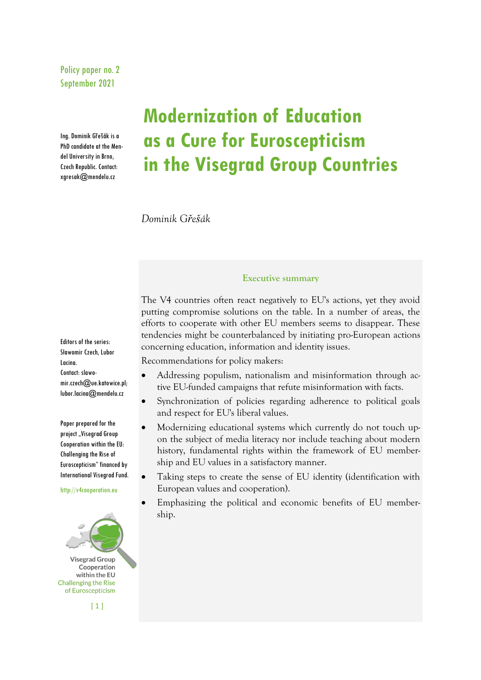Policy paper no. 2 September 2021

Ing. Dominik Gřešák is a PhD candidate at the Mendel University in Brno, Czech Republic. Contact: xgresak@mendelu.cz

# **Modernization of Education as a Cure for Euroscepticism in the Visegrad Group Countries**

*Dominik Gřešák*

## Editors of the series: Sławomir Czech, Lubor Lacina. Contact: slawomir.czech@ue.katowice.pl; lubor.lacina@mendelu.cz

Paper prepared for the project "Visegrad Group Cooperation within the EU: Challenging the Rise of Euroscepticism" financed by International Visegrad Fund.

http://v4cooperation.eu



**Executive summary**

The V4 countries often react negatively to EU's actions, yet they avoid putting compromise solutions on the table. In a number of areas, the efforts to cooperate with other EU members seems to disappear. These tendencies might be counterbalanced by initiating pro-European actions concerning education, information and identity issues.

Recommendations for policy makers:

- Addressing populism, nationalism and misinformation through active EU-funded campaigns that refute misinformation with facts.
- Synchronization of policies regarding adherence to political goals and respect for EU's liberal values.
- Modernizing educational systems which currently do not touch upon the subject of media literacy nor include teaching about modern history, fundamental rights within the framework of EU membership and EU values in a satisfactory manner.
- Taking steps to create the sense of EU identity (identification with European values and cooperation).
- Emphasizing the political and economic benefits of EU membership.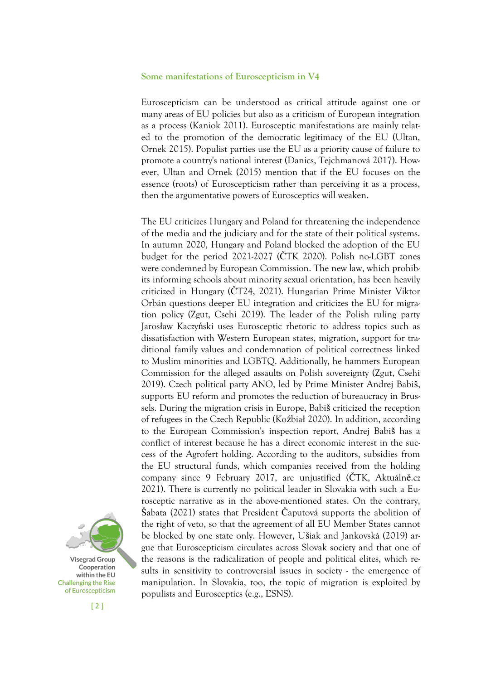#### **Some manifestations of Euroscepticism in V4**

Euroscepticism can be understood as critical attitude against one or many areas of EU policies but also as a criticism of European integration as a process (Kaniok 2011). Eurosceptic manifestations are mainly related to the promotion of the democratic legitimacy of the EU (Ultan, Ornek 2015). Populist parties use the EU as a priority cause of failure to promote a country's national interest (Danics, Tejchmanová 2017). However, Ultan and Ornek (2015) mention that if the EU focuses on the essence (roots) of Euroscepticism rather than perceiving it as a process, then the argumentative powers of Eurosceptics will weaken.

The EU criticizes Hungary and Poland for threatening the independence of the media and the judiciary and for the state of their political systems. In autumn 2020, Hungary and Poland blocked the adoption of the EU budget for the period 2021-2027 (ČTK 2020). Polish no-LGBT zones were condemned by European Commission. The new law, which prohibits informing schools about minority sexual orientation, has been heavily criticized in Hungary (ČT24, 2021). Hungarian Prime Minister Viktor Orbán questions deeper EU integration and criticizes the EU for migration policy (Zgut, Csehi 2019). The leader of the Polish ruling party Jarosław Kaczyński uses Eurosceptic rhetoric to address topics such as dissatisfaction with Western European states, migration, support for traditional family values and condemnation of political correctness linked to Muslim minorities and LGBTQ. Additionally, he hammers European Commission for the alleged assaults on Polish sovereignty (Zgut, Csehi 2019). Czech political party ANO, led by Prime Minister Andrej Babiš, supports EU reform and promotes the reduction of bureaucracy in Brussels. During the migration crisis in Europe, Babiš criticized the reception of refugees in the Czech Republic (Koźbiał 2020). In addition, according to the European Commission's inspection report, Andrej Babiš has a conflict of interest because he has a direct economic interest in the success of the Agrofert holding. According to the auditors, subsidies from the EU structural funds, which companies received from the holding company since 9 February 2017, are unjustified (ČTK, Aktuálně.cz 2021). There is currently no political leader in Slovakia with such a Eurosceptic narrative as in the above-mentioned states. On the contrary, Šabata (2021) states that President Čaputová supports the abolition of the right of veto, so that the agreement of all EU Member States cannot be blocked by one state only. However, Ušiak and Jankovská (2019) argue that Euroscepticism circulates across Slovak society and that one of the reasons is the radicalization of people and political elites, which results in sensitivity to controversial issues in society - the emergence of manipulation. In Slovakia, too, the topic of migration is exploited by populists and Eurosceptics (e.g., ĽSNS).

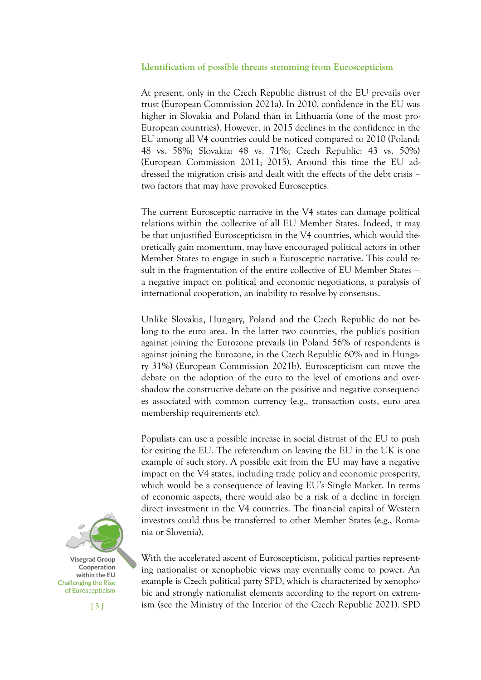### **Identification of possible threats stemming from Euroscepticism**

At present, only in the Czech Republic distrust of the EU prevails over trust (European Commission 2021a). In 2010, confidence in the EU was higher in Slovakia and Poland than in Lithuania (one of the most pro-European countries). However, in 2015 declines in the confidence in the EU among all V4 countries could be noticed compared to 2010 (Poland: 48 vs. 58%; Slovakia: 48 vs. 71%; Czech Republic: 43 vs. 50%) (European Commission 2011; 2015). Around this time the EU addressed the migration crisis and dealt with the effects of the debt crisis – two factors that may have provoked Eurosceptics.

The current Eurosceptic narrative in the V4 states can damage political relations within the collective of all EU Member States. Indeed, it may be that unjustified Euroscepticism in the V4 countries, which would theoretically gain momentum, may have encouraged political actors in other Member States to engage in such a Eurosceptic narrative. This could result in the fragmentation of the entire collective of EU Member States a negative impact on political and economic negotiations, a paralysis of international cooperation, an inability to resolve by consensus.

Unlike Slovakia, Hungary, Poland and the Czech Republic do not belong to the euro area. In the latter two countries, the public's position against joining the Eurozone prevails (in Poland 56% of respondents is against joining the Eurozone, in the Czech Republic 60% and in Hungary 31%) (European Commission 2021b). Euroscepticism can move the debate on the adoption of the euro to the level of emotions and overshadow the constructive debate on the positive and negative consequences associated with common currency (e.g., transaction costs, euro area membership requirements etc).

Populists can use a possible increase in social distrust of the EU to push for exiting the EU. The referendum on leaving the EU in the UK is one example of such story. A possible exit from the EU may have a negative impact on the V4 states, including trade policy and economic prosperity, which would be a consequence of leaving EU's Single Market. In terms of economic aspects, there would also be a risk of a decline in foreign direct investment in the V4 countries. The financial capital of Western investors could thus be transferred to other Member States (e.g., Romania or Slovenia).

With the accelerated ascent of Euroscepticism, political parties representing nationalist or xenophobic views may eventually come to power. An example is Czech political party SPD, which is characterized by xenophobic and strongly nationalist elements according to the report on extremism (see the Ministry of the Interior of the Czech Republic 2021). SPD

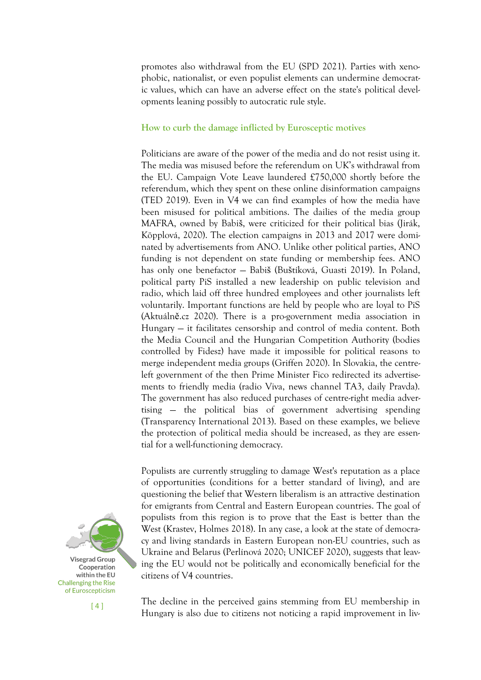promotes also withdrawal from the EU (SPD 2021). Parties with xenophobic, nationalist, or even populist elements can undermine democratic values, which can have an adverse effect on the state's political developments leaning possibly to autocratic rule style.

## **How to curb the damage inflicted by Eurosceptic motives**

Politicians are aware of the power of the media and do not resist using it. The media was misused before the referendum on UK's withdrawal from the EU. Campaign Vote Leave laundered £750,000 shortly before the referendum, which they spent on these online disinformation campaigns (TED 2019). Even in V4 we can find examples of how the media have been misused for political ambitions. The dailies of the media group MAFRA, owned by Babiš, were criticized for their political bias (Jirák, Köpplová, 2020). The election campaigns in 2013 and 2017 were dominated by advertisements from ANO. Unlike other political parties, ANO funding is not dependent on state funding or membership fees. ANO has only one benefactor — Babiš (Buštíková, Guasti 2019). In Poland, political party PiS installed a new leadership on public television and radio, which laid off three hundred employees and other journalists left voluntarily. Important functions are held by people who are loyal to PiS (Aktuálně.cz 2020). There is a pro-government media association in Hungary — it facilitates censorship and control of media content. Both the Media Council and the Hungarian Competition Authority (bodies controlled by Fidesz) have made it impossible for political reasons to merge independent media groups (Griffen 2020). In Slovakia, the centreleft government of the then Prime Minister Fico redirected its advertisements to friendly media (radio Viva, news channel TA3, daily Pravda). The government has also reduced purchases of centre-right media advertising — the political bias of government advertising spending (Transparency International 2013). Based on these examples, we believe the protection of political media should be increased, as they are essential for a well-functioning democracy.

Populists are currently struggling to damage West's reputation as a place of opportunities (conditions for a better standard of living), and are questioning the belief that Western liberalism is an attractive destination for emigrants from Central and Eastern European countries. The goal of populists from this region is to prove that the East is better than the West (Krastev, Holmes 2018). In any case, a look at the state of democracy and living standards in Eastern European non-EU countries, such as Ukraine and Belarus (Perlínová 2020; UNICEF 2020), suggests that leaving the EU would not be politically and economically beneficial for the citizens of V4 countries.



[ 4 ]

The decline in the perceived gains stemming from EU membership in Hungary is also due to citizens not noticing a rapid improvement in liv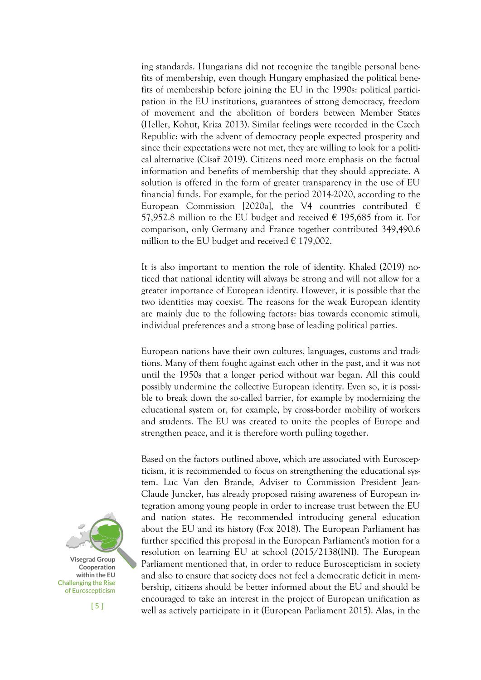ing standards. Hungarians did not recognize the tangible personal benefits of membership, even though Hungary emphasized the political benefits of membership before joining the EU in the 1990s: political participation in the EU institutions, guarantees of strong democracy, freedom of movement and the abolition of borders between Member States (Heller, Kohut, Kriza 2013). Similar feelings were recorded in the Czech Republic: with the advent of democracy people expected prosperity and since their expectations were not met, they are willing to look for a political alternative (Císař 2019). Citizens need more emphasis on the factual information and benefits of membership that they should appreciate. A solution is offered in the form of greater transparency in the use of EU financial funds. For example, for the period 2014-2020, according to the European Commission [2020a], the V4 countries contributed  $\epsilon$ 57,952.8 million to the EU budget and received  $\epsilon$  195,685 from it. For comparison, only Germany and France together contributed 349,490.6 million to the EU budget and received  $\epsilon$  179,002.

It is also important to mention the role of identity. Khaled (2019) noticed that national identity will always be strong and will not allow for a greater importance of European identity. However, it is possible that the two identities may coexist. The reasons for the weak European identity are mainly due to the following factors: bias towards economic stimuli, individual preferences and a strong base of leading political parties.

European nations have their own cultures, languages, customs and traditions. Many of them fought against each other in the past, and it was not until the 1950s that a longer period without war began. All this could possibly undermine the collective European identity. Even so, it is possible to break down the so-called barrier, for example by modernizing the educational system or, for example, by cross-border mobility of workers and students. The EU was created to unite the peoples of Europe and strengthen peace, and it is therefore worth pulling together.

Based on the factors outlined above, which are associated with Euroscepticism, it is recommended to focus on strengthening the educational system. Luc Van den Brande, Adviser to Commission President Jean-Claude Juncker, has already proposed raising awareness of European integration among young people in order to increase trust between the EU and nation states. He recommended introducing general education about the EU and its history (Fox 2018). The European Parliament has further specified this proposal in the European Parliament's motion for a resolution on learning EU at school (2015/2138(INI). The European Parliament mentioned that, in order to reduce Euroscepticism in society and also to ensure that society does not feel a democratic deficit in membership, citizens should be better informed about the EU and should be encouraged to take an interest in the project of European unification as well as actively participate in it (European Parliament 2015). Alas, in the



[ 5 ]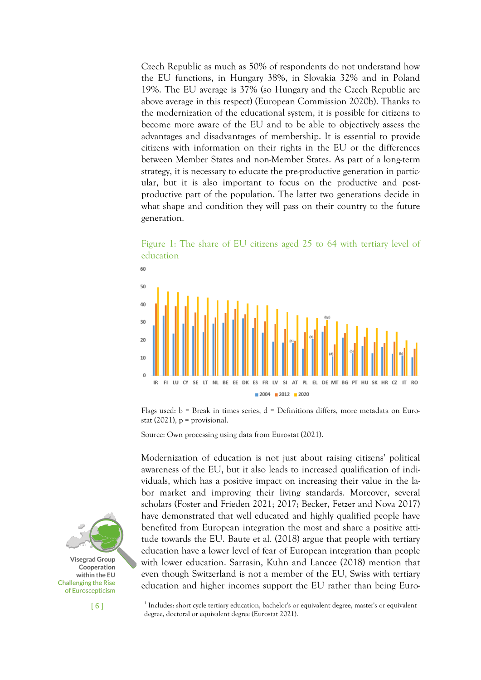Czech Republic as much as 50% of respondents do not understand how the EU functions, in Hungary 38%, in Slovakia 32% and in Poland 19%. The EU average is 37% (so Hungary and the Czech Republic are above average in this respect) (European Commission 2020b). Thanks to the modernization of the educational system, it is possible for citizens to become more aware of the EU and to be able to objectively assess the advantages and disadvantages of membership. It is essential to provide citizens with information on their rights in the EU or the differences between Member States and non-Member States. As part of a long-term strategy, it is necessary to educate the pre-productive generation in particular, but it is also important to focus on the productive and postproductive part of the population. The latter two generations decide in what shape and condition they will pass on their country to the future generation.

60 50 40  $30$ 20  $10$  $\theta$ IR SE LT NL BE EE DK ES FR LV  $SI$ AT PL EL DE MT BG PT HU SK HR CZ  $2004$  2012 2020

Figure 1: The share of EU citizens aged 25 to 64 with tertiary level of education

Flags used:  $b = B$ reak in times series,  $d = D$ efinitions differs, more metadata on Eurostat  $(2021)$ ,  $p =$  provisional.

Source: Own processing using data from Eurostat (2021).

Modernization of education is not just about raising citizens' political awareness of the EU, but it also leads to increased qualification of individuals, which has a positive impact on increasing their value in the labor market and improving their living standards. Moreover, several scholars (Foster and Frieden 2021; 2017; Becker, Fetzer and Nova 2017) have demonstrated that well educated and highly qualified people have benefited from European integration the most and share a positive attitude towards the EU. Baute et al. (2018) argue that people with tertiary education have a lower level of fear of European integration than people with lower education. Sarrasin, Kuhn and Lancee (2018) mention that even though Switzerland is not a member of the EU, Swiss with tertiary education and higher incomes support the EU rather than being Euro-



[ 6 ]

<sup>1</sup> Includes: short cycle tertiary education, bachelor's or equivalent degree, master's or equivalent degree, doctoral or equivalent degree (Eurostat 2021).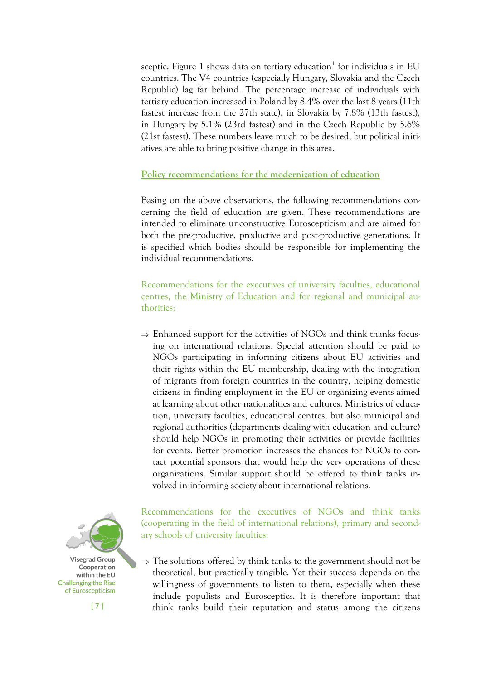sceptic. Figure 1 shows data on tertiary education<sup>1</sup> for individuals in EU countries. The V4 countries (especially Hungary, Slovakia and the Czech Republic) lag far behind. The percentage increase of individuals with tertiary education increased in Poland by 8.4% over the last 8 years (11th fastest increase from the 27th state), in Slovakia by 7.8% (13th fastest), in Hungary by 5.1% (23rd fastest) and in the Czech Republic by 5.6% (21st fastest). These numbers leave much to be desired, but political initiatives are able to bring positive change in this area.

# **Policy recommendations for the modernization of education**

Basing on the above observations, the following recommendations concerning the field of education are given. These recommendations are intended to eliminate unconstructive Euroscepticism and are aimed for both the pre-productive, productive and post-productive generations. It is specified which bodies should be responsible for implementing the individual recommendations.

Recommendations for the executives of university faculties, educational centres, the Ministry of Education and for regional and municipal authorities:

 $\Rightarrow$  Enhanced support for the activities of NGOs and think thanks focusing on international relations. Special attention should be paid to NGOs participating in informing citizens about EU activities and their rights within the EU membership, dealing with the integration of migrants from foreign countries in the country, helping domestic citizens in finding employment in the EU or organizing events aimed at learning about other nationalities and cultures. Ministries of education, university faculties, educational centres, but also municipal and regional authorities (departments dealing with education and culture) should help NGOs in promoting their activities or provide facilities for events. Better promotion increases the chances for NGOs to contact potential sponsors that would help the very operations of these organizations. Similar support should be offered to think tanks involved in informing society about international relations.



Recommendations for the executives of NGOs and think tanks (cooperating in the field of international relations), primary and secondary schools of university faculties:

 $\Rightarrow$  The solutions offered by think tanks to the government should not be theoretical, but practically tangible. Yet their success depends on the willingness of governments to listen to them, especially when these include populists and Eurosceptics. It is therefore important that think tanks build their reputation and status among the citizens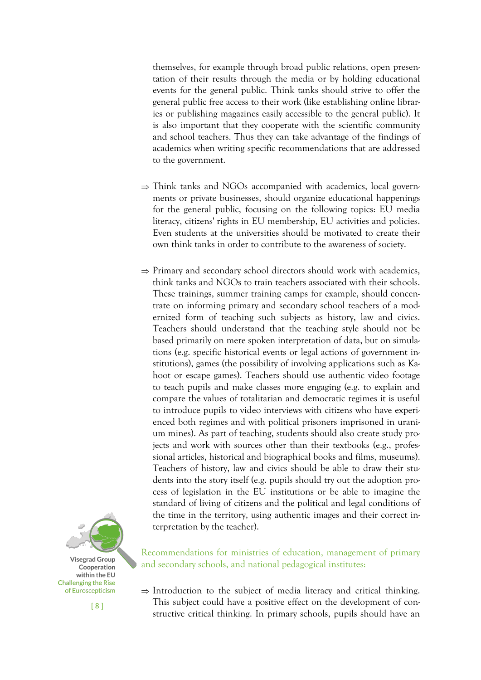themselves, for example through broad public relations, open presentation of their results through the media or by holding educational events for the general public. Think tanks should strive to offer the general public free access to their work (like establishing online libraries or publishing magazines easily accessible to the general public). It is also important that they cooperate with the scientific community and school teachers. Thus they can take advantage of the findings of academics when writing specific recommendations that are addressed to the government.

- $\Rightarrow$  Think tanks and NGOs accompanied with academics, local governments or private businesses, should organize educational happenings for the general public, focusing on the following topics: EU media literacy, citizens' rights in EU membership, EU activities and policies. Even students at the universities should be motivated to create their own think tanks in order to contribute to the awareness of society.
- $\Rightarrow$  Primary and secondary school directors should work with academics, think tanks and NGOs to train teachers associated with their schools. These trainings, summer training camps for example, should concentrate on informing primary and secondary school teachers of a modernized form of teaching such subjects as history, law and civics. Teachers should understand that the teaching style should not be based primarily on mere spoken interpretation of data, but on simulations (e.g. specific historical events or legal actions of government institutions), games (the possibility of involving applications such as Kahoot or escape games). Teachers should use authentic video footage to teach pupils and make classes more engaging (e.g. to explain and compare the values of totalitarian and democratic regimes it is useful to introduce pupils to video interviews with citizens who have experienced both regimes and with political prisoners imprisoned in uranium mines). As part of teaching, students should also create study projects and work with sources other than their textbooks (e.g., professional articles, historical and biographical books and films, museums). Teachers of history, law and civics should be able to draw their students into the story itself (e.g. pupils should try out the adoption process of legislation in the EU institutions or be able to imagine the standard of living of citizens and the political and legal conditions of the time in the territory, using authentic images and their correct interpretation by the teacher).



Recommendations for ministries of education, management of primary and secondary schools, and national pedagogical institutes:

 $\Rightarrow$  Introduction to the subject of media literacy and critical thinking. This subject could have a positive effect on the development of constructive critical thinking. In primary schools, pupils should have an

[ 8 ]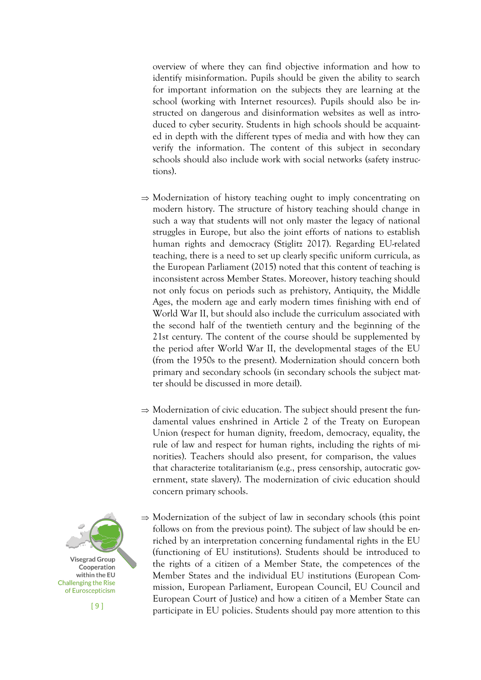overview of where they can find objective information and how to identify misinformation. Pupils should be given the ability to search for important information on the subjects they are learning at the school (working with Internet resources). Pupils should also be instructed on dangerous and disinformation websites as well as introduced to cyber security. Students in high schools should be acquainted in depth with the different types of media and with how they can verify the information. The content of this subject in secondary schools should also include work with social networks (safety instructions).

- $\Rightarrow$  Modernization of history teaching ought to imply concentrating on modern history. The structure of history teaching should change in such a way that students will not only master the legacy of national struggles in Europe, but also the joint efforts of nations to establish human rights and democracy (Stiglitz 2017). Regarding EU-related teaching, there is a need to set up clearly specific uniform curricula, as the European Parliament (2015) noted that this content of teaching is inconsistent across Member States. Moreover, history teaching should not only focus on periods such as prehistory, Antiquity, the Middle Ages, the modern age and early modern times finishing with end of World War II, but should also include the curriculum associated with the second half of the twentieth century and the beginning of the 21st century. The content of the course should be supplemented by the period after World War II, the developmental stages of the EU (from the 1950s to the present). Modernization should concern both primary and secondary schools (in secondary schools the subject matter should be discussed in more detail).
- $\Rightarrow$  Modernization of civic education. The subject should present the fundamental values enshrined in Article 2 of the Treaty on European Union (respect for human dignity, freedom, democracy, equality, the rule of law and respect for human rights, including the rights of minorities). Teachers should also present, for comparison, the values that characterize totalitarianism (e.g., press censorship, autocratic government, state slavery). The modernization of civic education should concern primary schools.
- **Visegrad Group** Cooperation within the EU **Challenging the Rise** of Euroscepticism

[ 9 ]

 $\Rightarrow$  Modernization of the subject of law in secondary schools (this point follows on from the previous point). The subject of law should be enriched by an interpretation concerning fundamental rights in the EU (functioning of EU institutions). Students should be introduced to the rights of a citizen of a Member State, the competences of the Member States and the individual EU institutions (European Commission, European Parliament, European Council, EU Council and European Court of Justice) and how a citizen of a Member State can participate in EU policies. Students should pay more attention to this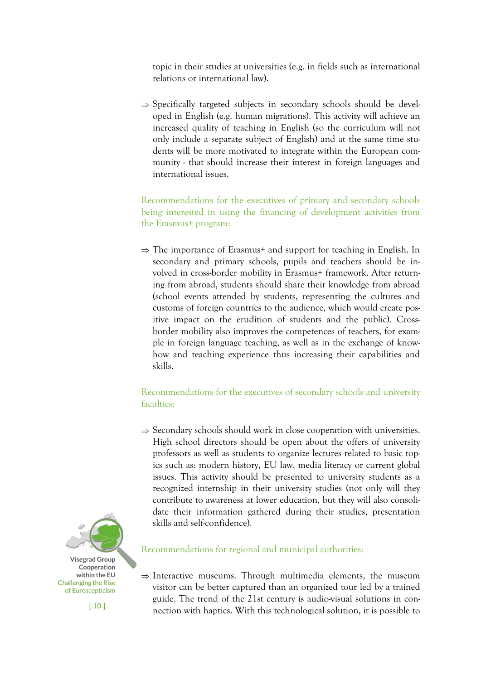topic in their studies at universities (e.g. in fields such as international relations or international law).

 $\Rightarrow$  Specifically targeted subjects in secondary schools should be developed in English (e.g. human migrations). This activity will achieve an increased quality of teaching in English (so the curriculum will not only include a separate subject of English) and at the same time students will be more motivated to integrate within the European community - that should increase their interest in foreign languages and international issues.

Recommendations for the executives of primary and secondary schools being interested in using the financing of development activities from the Erasmus+ program:

 $\Rightarrow$  The importance of Erasmus+ and support for teaching in English. In secondary and primary schools, pupils and teachers should be involved in cross-border mobility in Erasmus+ framework. After returning from abroad, students should share their knowledge from abroad (school events attended by students, representing the cultures and customs of foreign countries to the audience, which would create positive impact on the erudition of students and the public). Crossborder mobility also improves the competences of teachers, for example in foreign language teaching, as well as in the exchange of knowhow and teaching experience thus increasing their capabilities and skills.

# Recommendations for the executives of secondary schools and university faculties:

 $\Rightarrow$  Secondary schools should work in close cooperation with universities. High school directors should be open about the offers of university professors as well as students to organize lectures related to basic topics such as: modern history, EU law, media literacy or current global issues. This activity should be presented to university students as a recognized internship in their university studies (not only will they contribute to awareness at lower education, but they will also consolidate their information gathered during their studies, presentation skills and self-confidence).



 $[10]$ 

# Recommendations for regional and municipal authorities:

 $\Rightarrow$  Interactive museums. Through multimedia elements, the museum visitor can be better captured than an organized tour led by a trained guide. The trend of the 21st century is audio-visual solutions in connection with haptics. With this technological solution, it is possible to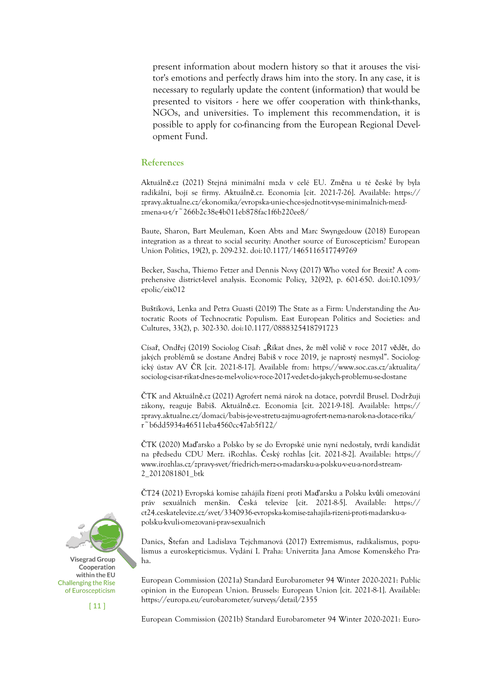present information about modern history so that it arouses the visitor's emotions and perfectly draws him into the story. In any case, it is necessary to regularly update the content (information) that would be presented to visitors - here we offer cooperation with think-thanks, NGOs, and universities. To implement this recommendation, it is possible to apply for co-financing from the European Regional Development Fund.

#### **References**

Aktuálně.cz (2021) Stejná minimální mzda v celé EU. Změna u té české by byla radikální, bojí se firmy. Aktuálně.cz. Economia [cit. 2021-7-26]. Available: https:// zpravy.aktualne.cz/ekonomika/evropska-unie-chce-sjednotit-vyse-minimalnich-mezdzmena-u-t/r~266b2c38e4b011eb878fac1f6b220ee8/

Baute, Sharon, Bart Meuleman, Koen Abts and Marc Swyngedouw (2018) European integration as a threat to social security: Another source of Euroscepticism? European Union Politics, 19(2), p. 209-232. doi:10.1177/1465116517749769

Becker, Sascha, Thiemo Fetzer and Dennis Novy (2017) Who voted for Brexit? A comprehensive district-level analysis. Economic Policy, 32(92), p. 601-650. doi:10.1093/ epolic/eix012

Buštíková, Lenka and Petra Guasti (2019) The State as a Firm: Understanding the Autocratic Roots of Technocratic Populism. East European Politics and Societies: and Cultures, 33(2), p. 302-330. doi:10.1177/0888325418791723

Císař, Ondřej (2019) Sociolog Císař: "Říkat dnes, že měl volič v roce 2017 vědět, do jakých problémů se dostane Andrej Babiš v roce 2019, je naprostý nesmysl". Sociologický ústav AV ČR [cit. 2021-8-17]. Available from: https://www.soc.cas.cz/aktualita/ sociolog-cisar-rikat-dnes-ze-mel-volic-v-roce-2017-vedet-do-jakych-problemu-se-dostane

ČTK and Aktuálně.cz (2021) Agrofert nemá nárok na dotace, potvrdil Brusel. Dodržuji zákony, reaguje Babiš. Aktuálně.cz. Economia [cit. 2021-9-18]. Available: https:// zpravy.aktualne.cz/domaci/babis-je-ve-stretu-zajmu-agrofert-nema-narok-na-dotace-rika/ r~b6dd5934a46511eba4560cc47ab5f122/

ČTK (2020) Maďarsko a Polsko by se do Evropské unie nyní nedostaly, tvrdí kandidát na předsedu CDU Merz. iRozhlas. Český rozhlas [cit. 2021-8-2]. Available: https:// www.irozhlas.cz/zpravy-svet/friedrich-merz-o-madarsku-a-polsku-v-eu-a-nord-stream-2\_2012081801\_btk

ČT24 (2021) Evropská komise zahájila řízení proti Maďarsku a Polsku kvůli omezování práv sexuálních menšin. Česká televize [cit. 2021-8-5]. Available: https:// ct24.ceskatelevize.cz/svet/3340936-evropska-komise-zahajila-rizeni-proti-madarsku-apolsku-kvuli-omezovani-prav-sexualnich

Danics, Štefan and Ladislava Tejchmanová (2017) Extremismus, radikalismus, populismus a euroskepticismus. Vydání I. Praha: Univerzita Jana Amose Komenského Praha.

European Commission (2021a) Standard Eurobarometer 94 Winter 2020-2021: Public opinion in the European Union. Brussels: European Union [cit. 2021-8-1]. Available: https://europa.eu/eurobarometer/surveys/detail/2355

European Commission (2021b) Standard Eurobarometer 94 Winter 2020-2021: Euro-



 $[11]$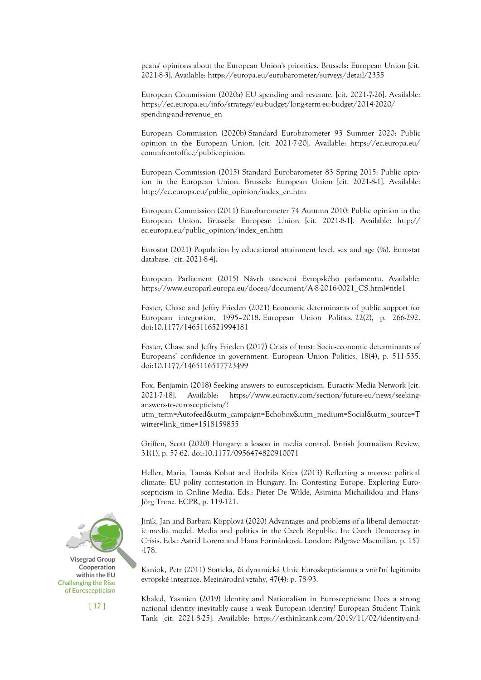peans' opinions about the European Union's priorities. Brussels: European Union [cit. 2021-8-3]. Available: https://europa.eu/eurobarometer/surveys/detail/2355

European Commission (2020a) EU spending and revenue. [cit. 2021-7-26]. Available: https://ec.europa.eu/info/strategy/eu-budget/long-term-eu-budget/2014-2020/ spending-and-revenue\_en

European Commission (2020b) Standard Eurobarometer 93 Summer 2020: Public opinion in the European Union. [cit. 2021-7-20]. Available: https://ec.europa.eu/ commfrontoffice/publicopinion.

European Commission (2015) Standard Eurobarometer 83 Spring 2015: Public opinion in the European Union. Brussels: European Union [cit. 2021-8-1]. Available: http://ec.europa.eu/public\_opinion/index\_en.htm

European Commission (2011) Eurobarometer 74 Autumn 2010: Public opinion in the European Union. Brussels: European Union [cit. 2021-8-1]. Available: http:// ec.europa.eu/public\_opinion/index\_en.htm

Eurostat (2021) Population by educational attainment level, sex and age (%). Eurostat database. [cit. 2021-8-4].

European Parliament (2015) Návrh usnesení Evropského parlamentu. Available: https://www.europarl.europa.eu/doceo/document/A-8-2016-0021\_CS.html#title1

Foster, Chase and Jeffry Frieden (2021) Economic determinants of public support for European integration, 1995–2018. European Union Politics, 22(2), p. 266-292. doi:10.1177/1465116521994181

Foster, Chase and Jeffry Frieden (2017) Crisis of trust: Socio-economic determinants of Europeans' confidence in government. European Union Politics, 18(4), p. 511-535. doi:10.1177/1465116517723499

Fox, Benjamin (2018) Seeking answers to euroscepticism. Euractiv Media Network [cit. 2021-7-18]. Available: https://www.euractiv.com/section/future-eu/news/seekinganswers-to-euroscepticism/?

utm\_term=Autofeed&utm\_campaign=Echobox&utm\_medium=Social&utm\_source=T witter#link\_time=1518159855

Griffen, Scott (2020) Hungary: a lesson in media control. British Journalism Review, 31(1), p. 57-62. doi:10.1177/0956474820910071

Heller, Maria, Tamás Kohut and Borbála Kriza (2013) Reflecting a morose political climate: EU polity contestation in Hungary. In: Contesting Europe. Exploring Euroscepticism in Online Media. Eds.: Pieter De Wilde, Asimina Michailidou and Hans-Jörg Trenz. ECPR, p. 119-121.

Jirák, Jan and Barbara Köpplová (2020) Advantages and problems of a liberal democratic media model. Media and politics in the Czech Republic. In: Czech Democracy in Crisis. Eds.: Astrid Lorenz and Hana Formánková. London: Palgrave Macmillan, p. 157 -178.

Kaniok, Petr (2011) Statická, či dynamická Unie Euroskepticismus a vnitřní legitimita evropské integrace. Mezinárodní vztahy, 47(4): p. 78-93.

Khaled, Yasmien (2019) Identity and Nationalism in Euroscepticism: Does a strong national identity inevitably cause a weak European identity? European Student Think Tank [cit. 2021-8-25]. Available: https://esthinktank.com/2019/11/02/identity-and-



 $\lceil 12 \rceil$